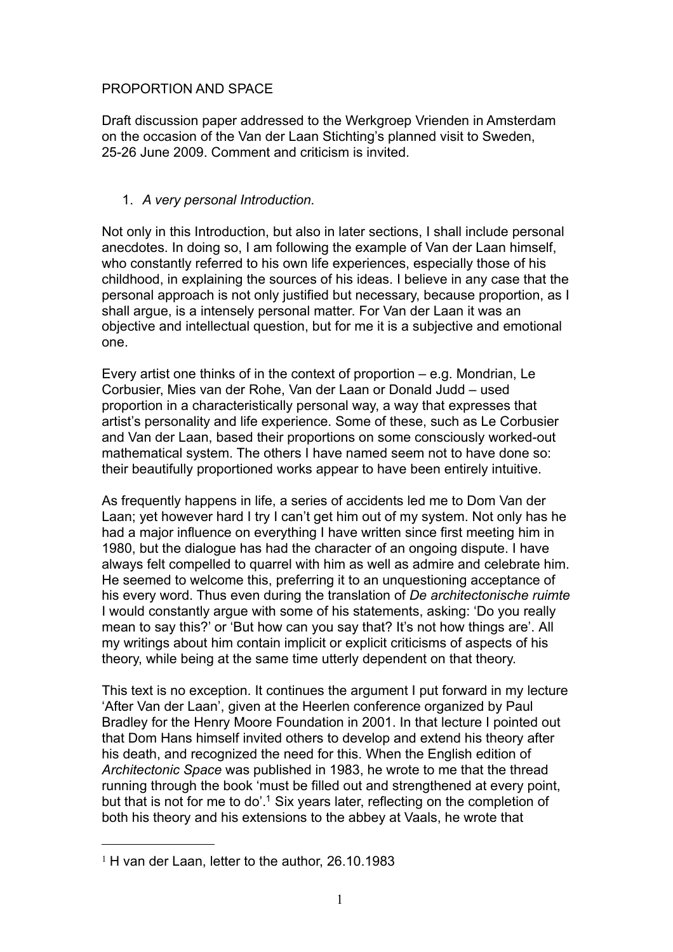# PROPORTION AND SPACE

Draft discussion paper addressed to the Werkgroep Vrienden in Amsterdam on the occasion of the Van der Laan Stichting's planned visit to Sweden, 25-26 June 2009. Comment and criticism is invited.

# 1. *A very personal Introduction.*

Not only in this Introduction, but also in later sections, I shall include personal anecdotes. In doing so, I am following the example of Van der Laan himself, who constantly referred to his own life experiences, especially those of his childhood, in explaining the sources of his ideas. I believe in any case that the personal approach is not only justified but necessary, because proportion, as I shall argue, is a intensely personal matter. For Van der Laan it was an objective and intellectual question, but for me it is a subjective and emotional one.

Every artist one thinks of in the context of proportion – e.g. Mondrian, Le Corbusier, Mies van der Rohe, Van der Laan or Donald Judd – used proportion in a characteristically personal way, a way that expresses that artist's personality and life experience. Some of these, such as Le Corbusier and Van der Laan, based their proportions on some consciously worked-out mathematical system. The others I have named seem not to have done so: their beautifully proportioned works appear to have been entirely intuitive.

As frequently happens in life, a series of accidents led me to Dom Van der Laan; yet however hard I try I can't get him out of my system. Not only has he had a major influence on everything I have written since first meeting him in 1980, but the dialogue has had the character of an ongoing dispute. I have always felt compelled to quarrel with him as well as admire and celebrate him. He seemed to welcome this, preferring it to an unquestioning acceptance of his every word. Thus even during the translation of *De architectonische ruimte* I would constantly argue with some of his statements, asking: 'Do you really mean to say this?' or 'But how can you say that? It's not how things are'. All my writings about him contain implicit or explicit criticisms of aspects of his theory, while being at the same time utterly dependent on that theory.

This text is no exception. It continues the argument I put forward in my lecture 'After Van der Laan', given at the Heerlen conference organized by Paul Bradley for the Henry Moore Foundation in 2001. In that lecture I pointed out that Dom Hans himself invited others to develop and extend his theory after his death, and recognized the need for this. When the English edition of *Architectonic Space* was published in 1983, he wrote to me that the thread running through the book 'must be filled out and strengthened at every point, but that is not for me to do'.<sup>1</sup> Six years later, reflecting on the completion of both his theory and his extensions to the abbey at Vaals, he wrote that

<span id="page-0-0"></span> $1$  H van der Laan, letter to the author, 26.10.1983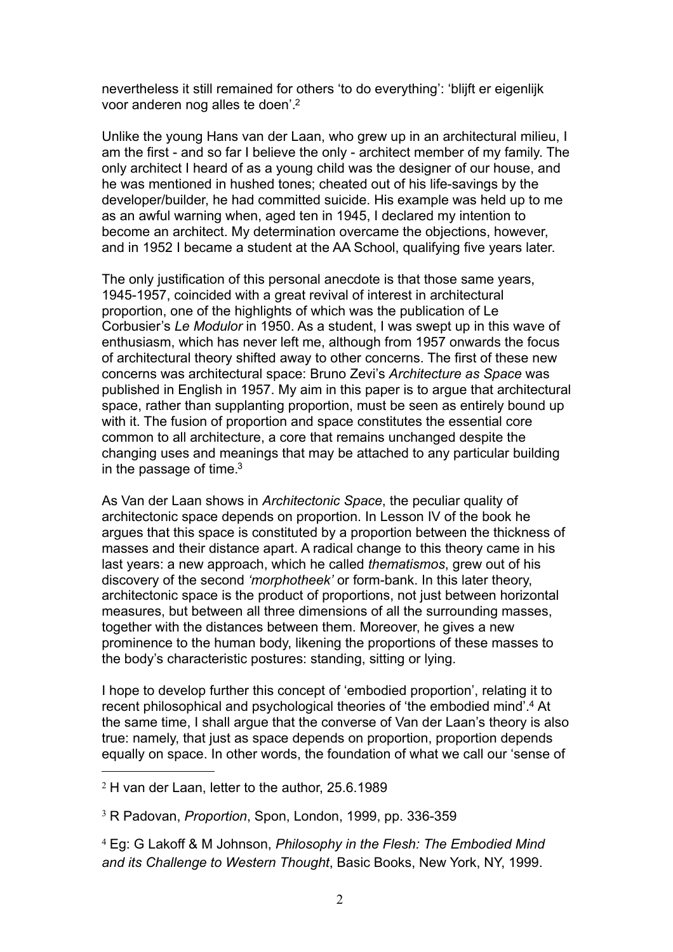nevertheless it still remained for others 'to do everything': 'blijft er eigenlijk voor anderen nog alles te doen'[.2](#page-1-0)

Unlike the young Hans van der Laan, who grew up in an architectural milieu, I am the first - and so far I believe the only - architect member of my family. The only architect I heard of as a young child was the designer of our house, and he was mentioned in hushed tones; cheated out of his life-savings by the developer/builder, he had committed suicide. His example was held up to me as an awful warning when, aged ten in 1945, I declared my intention to become an architect. My determination overcame the objections, however, and in 1952 I became a student at the AA School, qualifying five years later.

The only justification of this personal anecdote is that those same years, 1945-1957, coincided with a great revival of interest in architectural proportion, one of the highlights of which was the publication of Le Corbusier's *Le Modulor* in 1950. As a student, I was swept up in this wave of enthusiasm, which has never left me, although from 1957 onwards the focus of architectural theory shifted away to other concerns. The first of these new concerns was architectural space: Bruno Zevi's *Architecture as Space* was published in English in 1957. My aim in this paper is to argue that architectural space, rather than supplanting proportion, must be seen as entirely bound up with it. The fusion of proportion and space constitutes the essential core common to all architecture, a core that remains unchanged despite the changing uses and meanings that may be attached to any particular building in the passage of time. $3$ 

As Van der Laan shows in *Architectonic Space*, the peculiar quality of architectonic space depends on proportion. In Lesson IV of the book he argues that this space is constituted by a proportion between the thickness of masses and their distance apart. A radical change to this theory came in his last years: a new approach, which he called *thematismos*, grew out of his discovery of the second *'morphotheek'* or form-bank. In this later theory, architectonic space is the product of proportions, not just between horizontal measures, but between all three dimensions of all the surrounding masses, together with the distances between them. Moreover, he gives a new prominence to the human body, likening the proportions of these masses to the body's characteristic postures: standing, sitting or lying.

I hope to develop further this concept of 'embodied proportion', relating it to recent philosophical and psychological theories of 'the embodied mind'[.4](#page-1-2) At the same time, I shall argue that the converse of Van der Laan's theory is also true: namely, that just as space depends on proportion, proportion depends equally on space. In other words, the foundation of what we call our 'sense of

<span id="page-1-0"></span> $2$  H van der Laan, letter to the author, 25.6.1989

<span id="page-1-1"></span><sup>3</sup> R Padovan, *Proportion*, Spon, London, 1999, pp. 336-359

<span id="page-1-2"></span><sup>4</sup> Eg: G Lakoff & M Johnson, *Philosophy in the Flesh: The Embodied Mind and its Challenge to Western Thought*, Basic Books, New York, NY, 1999.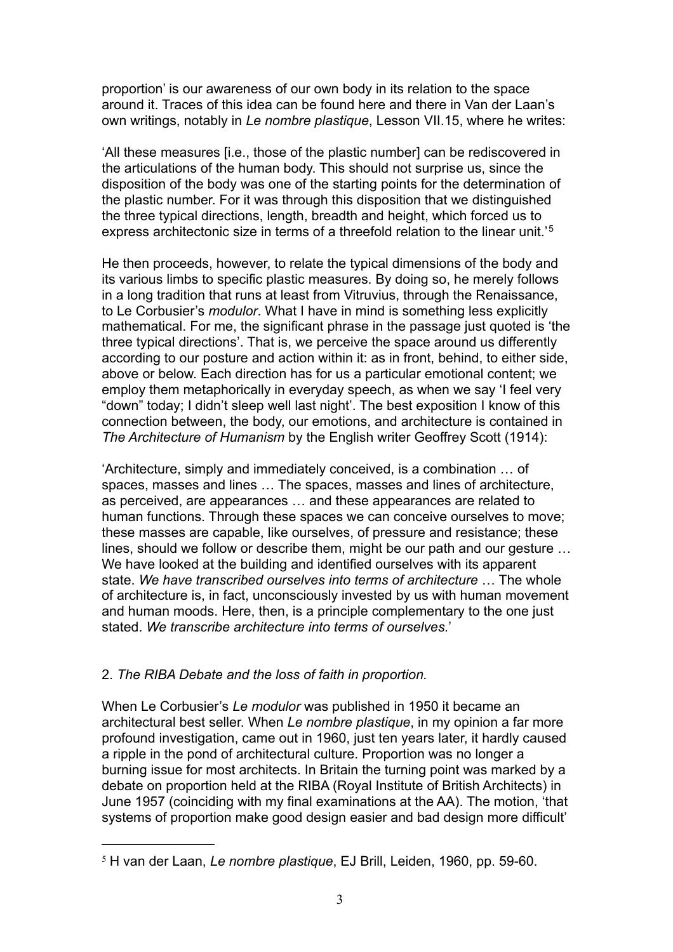proportion' is our awareness of our own body in its relation to the space around it. Traces of this idea can be found here and there in Van der Laan's own writings, notably in *Le nombre plastique*, Lesson VII.15, where he writes:

'All these measures [i.e., those of the plastic number] can be rediscovered in the articulations of the human body. This should not surprise us, since the disposition of the body was one of the starting points for the determination of the plastic number. For it was through this disposition that we distinguished the three typical directions, length, breadth and height, which forced us to express architectonic size in terms of a threefold relation to the linear unit.'[5](#page-2-0)

He then proceeds, however, to relate the typical dimensions of the body and its various limbs to specific plastic measures. By doing so, he merely follows in a long tradition that runs at least from Vitruvius, through the Renaissance, to Le Corbusier's *modulor*. What I have in mind is something less explicitly mathematical. For me, the significant phrase in the passage just quoted is 'the three typical directions'. That is, we perceive the space around us differently according to our posture and action within it: as in front, behind, to either side, above or below. Each direction has for us a particular emotional content; we employ them metaphorically in everyday speech, as when we say 'I feel very "down" today; I didn't sleep well last night'. The best exposition I know of this connection between, the body, our emotions, and architecture is contained in *The Architecture of Humanism* by the English writer Geoffrey Scott (1914):

'Architecture, simply and immediately conceived, is a combination … of spaces, masses and lines … The spaces, masses and lines of architecture, as perceived, are appearances … and these appearances are related to human functions. Through these spaces we can conceive ourselves to move; these masses are capable, like ourselves, of pressure and resistance; these lines, should we follow or describe them, might be our path and our gesture … We have looked at the building and identified ourselves with its apparent state. *We have transcribed ourselves into terms of architecture* … The whole of architecture is, in fact, unconsciously invested by us with human movement and human moods. Here, then, is a principle complementary to the one just stated. *We transcribe architecture into terms of ourselves.*'

### 2. *The RIBA Debate and the loss of faith in proportion.*

When Le Corbusier's *Le modulor* was published in 1950 it became an architectural best seller. When *Le nombre plastique*, in my opinion a far more profound investigation, came out in 1960, just ten years later, it hardly caused a ripple in the pond of architectural culture. Proportion was no longer a burning issue for most architects. In Britain the turning point was marked by a debate on proportion held at the RIBA (Royal Institute of British Architects) in June 1957 (coinciding with my final examinations at the AA). The motion, 'that systems of proportion make good design easier and bad design more difficult'

<span id="page-2-0"></span><sup>5</sup> H van der Laan, *Le nombre plastique*, EJ Brill, Leiden, 1960, pp. 59-60.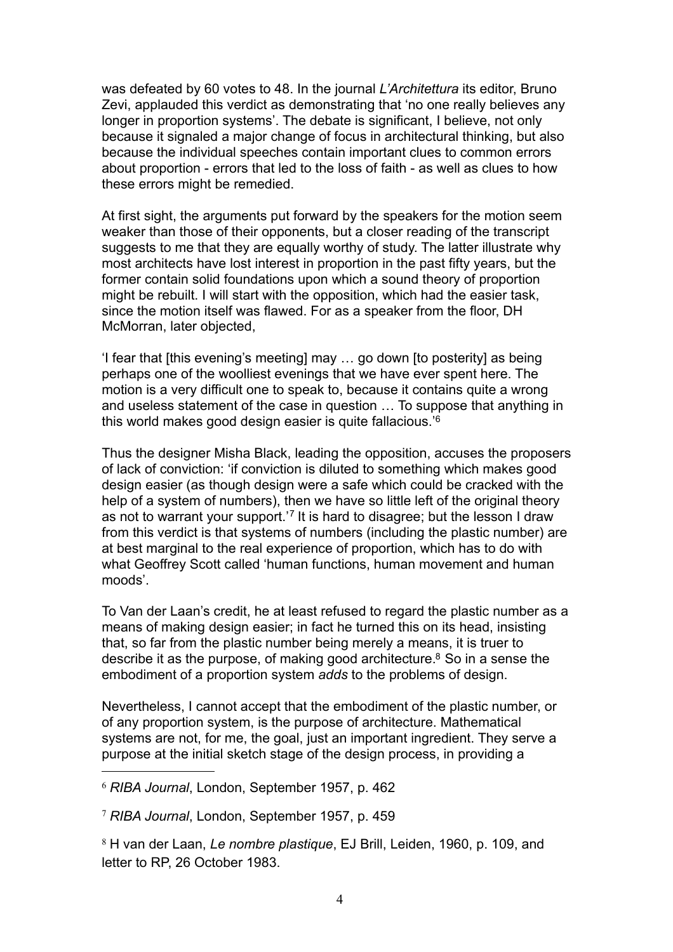was defeated by 60 votes to 48. In the journal *L'Architettura* its editor, Bruno Zevi, applauded this verdict as demonstrating that 'no one really believes any longer in proportion systems'. The debate is significant, I believe, not only because it signaled a major change of focus in architectural thinking, but also because the individual speeches contain important clues to common errors about proportion - errors that led to the loss of faith - as well as clues to how these errors might be remedied.

At first sight, the arguments put forward by the speakers for the motion seem weaker than those of their opponents, but a closer reading of the transcript suggests to me that they are equally worthy of study. The latter illustrate why most architects have lost interest in proportion in the past fifty years, but the former contain solid foundations upon which a sound theory of proportion might be rebuilt. I will start with the opposition, which had the easier task, since the motion itself was flawed. For as a speaker from the floor, DH McMorran, later objected,

'I fear that [this evening's meeting] may … go down [to posterity] as being perhaps one of the woolliest evenings that we have ever spent here. The motion is a very difficult one to speak to, because it contains quite a wrong and useless statement of the case in question … To suppose that anything in this world makes good design easier is quite fallacious.'[6](#page-3-0)

Thus the designer Misha Black, leading the opposition, accuses the proposers of lack of conviction: 'if conviction is diluted to something which makes good design easier (as though design were a safe which could be cracked with the help of a system of numbers), then we have so little left of the original theory as not to warrant your support.'[7](#page-3-1) It is hard to disagree; but the lesson I draw from this verdict is that systems of numbers (including the plastic number) are at best marginal to the real experience of proportion, which has to do with what Geoffrey Scott called 'human functions, human movement and human moods'.

To Van der Laan's credit, he at least refused to regard the plastic number as a means of making design easier; in fact he turned this on its head, insisting that, so far from the plastic number being merely a means, it is truer to describe it as the purpose, of making good architecture.<sup>8</sup> So in a sense the embodiment of a proportion system *adds* to the problems of design.

Nevertheless, I cannot accept that the embodiment of the plastic number, or of any proportion system, is the purpose of architecture. Mathematical systems are not, for me, the goal, just an important ingredient. They serve a purpose at the initial sketch stage of the design process, in providing a

<span id="page-3-0"></span><sup>6</sup> *RIBA Journal*, London, September 1957, p. 462

<span id="page-3-1"></span><sup>7</sup> *RIBA Journal*, London, September 1957, p. 459

<span id="page-3-2"></span><sup>8</sup> H van der Laan, *Le nombre plastique*, EJ Brill, Leiden, 1960, p. 109, and letter to RP, 26 October 1983.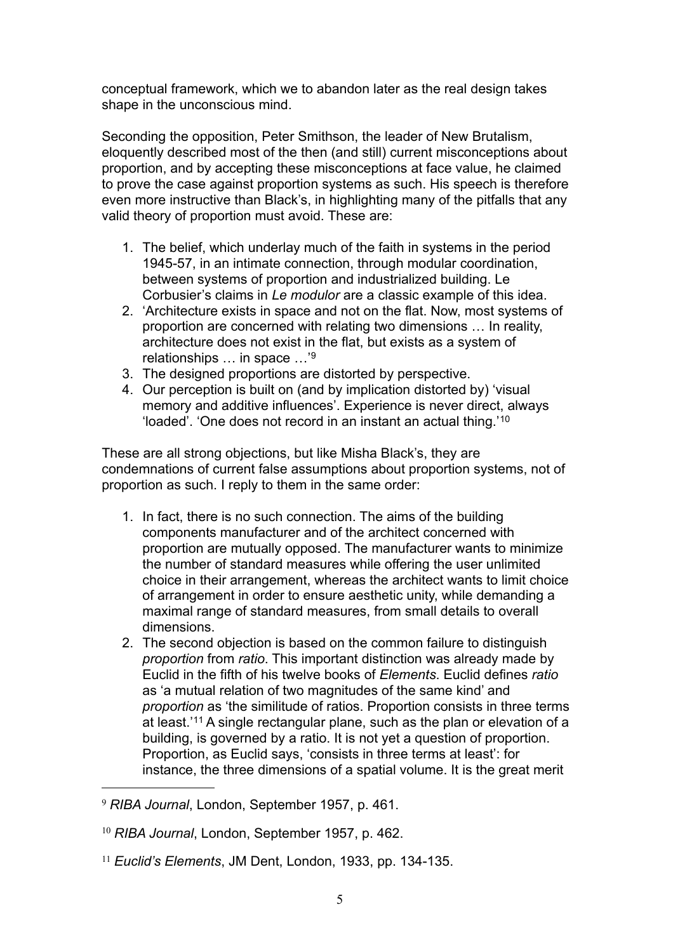conceptual framework, which we to abandon later as the real design takes shape in the unconscious mind.

Seconding the opposition, Peter Smithson, the leader of New Brutalism, eloquently described most of the then (and still) current misconceptions about proportion, and by accepting these misconceptions at face value, he claimed to prove the case against proportion systems as such. His speech is therefore even more instructive than Black's, in highlighting many of the pitfalls that any valid theory of proportion must avoid. These are:

- 1. The belief, which underlay much of the faith in systems in the period 1945-57, in an intimate connection, through modular coordination, between systems of proportion and industrialized building. Le Corbusier's claims in *Le modulor* are a classic example of this idea.
- 2. 'Architecture exists in space and not on the flat. Now, most systems of proportion are concerned with relating two dimensions … In reality, architecture does not exist in the flat, but exists as a system of relationships … in space …'[9](#page-4-0)
- 3. The designed proportions are distorted by perspective.
- 4. Our perception is built on (and by implication distorted by) 'visual memory and additive influences'. Experience is never direct, always 'loaded'. 'One does not record in an instant an actual thing.'[10](#page-4-1)

These are all strong objections, but like Misha Black's, they are condemnations of current false assumptions about proportion systems, not of proportion as such. I reply to them in the same order:

- 1. In fact, there is no such connection. The aims of the building components manufacturer and of the architect concerned with proportion are mutually opposed. The manufacturer wants to minimize the number of standard measures while offering the user unlimited choice in their arrangement, whereas the architect wants to limit choice of arrangement in order to ensure aesthetic unity, while demanding a maximal range of standard measures, from small details to overall dimensions.
- 2. The second objection is based on the common failure to distinguish *proportion* from *ratio*. This important distinction was already made by Euclid in the fifth of his twelve books of *Elements*. Euclid defines *ratio* as 'a mutual relation of two magnitudes of the same kind' and *proportion* as 'the similitude of ratios. Proportion consists in three terms at least.'[11](#page-4-2) A single rectangular plane, such as the plan or elevation of a building, is governed by a ratio. It is not yet a question of proportion. Proportion, as Euclid says, 'consists in three terms at least': for instance, the three dimensions of a spatial volume. It is the great merit

<span id="page-4-0"></span><sup>9</sup> *RIBA Journal*, London, September 1957, p. 461.

<span id="page-4-1"></span><sup>10</sup> *RIBA Journal*, London, September 1957, p. 462.

<span id="page-4-2"></span><sup>11</sup> *Euclid's Elements*, JM Dent, London, 1933, pp. 134-135.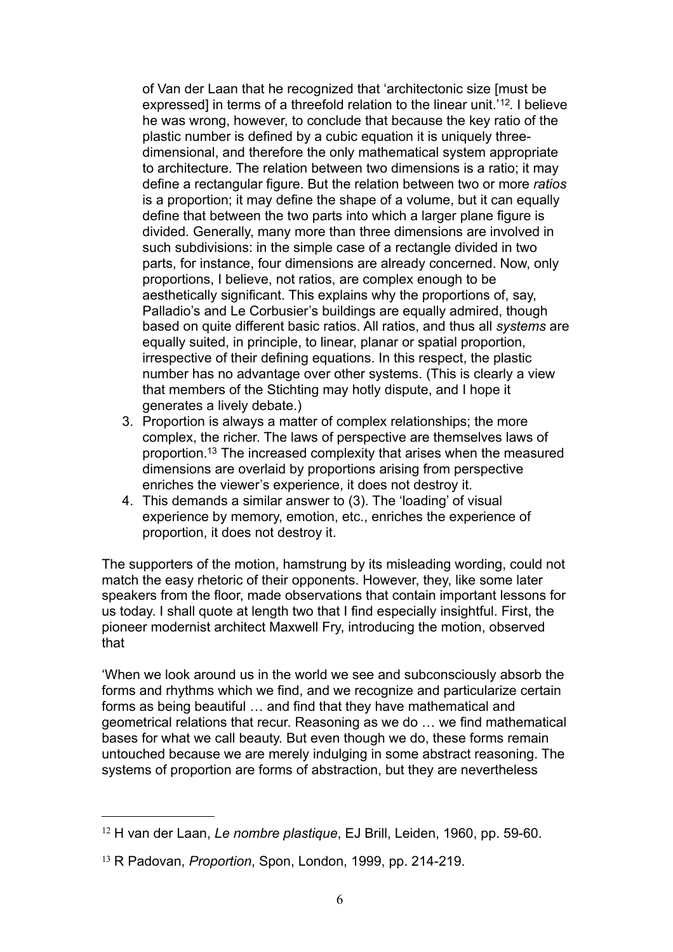of Van der Laan that he recognized that 'architectonic size [must be expressed] in terms of a threefold relation to the linear unit.<sup>'[12](#page-5-0)</sup>. I believe he was wrong, however, to conclude that because the key ratio of the plastic number is defined by a cubic equation it is uniquely threedimensional, and therefore the only mathematical system appropriate to architecture. The relation between two dimensions is a ratio; it may define a rectangular figure. But the relation between two or more *ratios* is a proportion; it may define the shape of a volume, but it can equally define that between the two parts into which a larger plane figure is divided. Generally, many more than three dimensions are involved in such subdivisions: in the simple case of a rectangle divided in two parts, for instance, four dimensions are already concerned. Now, only proportions, I believe, not ratios, are complex enough to be aesthetically significant. This explains why the proportions of, say, Palladio's and Le Corbusier's buildings are equally admired, though based on quite different basic ratios. All ratios, and thus all *systems* are equally suited, in principle, to linear, planar or spatial proportion, irrespective of their defining equations. In this respect, the plastic number has no advantage over other systems. (This is clearly a view that members of the Stichting may hotly dispute, and I hope it generates a lively debate.)

- 3. Proportion is always a matter of complex relationships; the more complex, the richer. The laws of perspective are themselves laws of proportion[.13](#page-5-1) The increased complexity that arises when the measured dimensions are overlaid by proportions arising from perspective enriches the viewer's experience, it does not destroy it.
- 4. This demands a similar answer to (3). The 'loading' of visual experience by memory, emotion, etc., enriches the experience of proportion, it does not destroy it.

The supporters of the motion, hamstrung by its misleading wording, could not match the easy rhetoric of their opponents. However, they, like some later speakers from the floor, made observations that contain important lessons for us today. I shall quote at length two that I find especially insightful. First, the pioneer modernist architect Maxwell Fry, introducing the motion, observed that

'When we look around us in the world we see and subconsciously absorb the forms and rhythms which we find, and we recognize and particularize certain forms as being beautiful … and find that they have mathematical and geometrical relations that recur. Reasoning as we do … we find mathematical bases for what we call beauty. But even though we do, these forms remain untouched because we are merely indulging in some abstract reasoning. The systems of proportion are forms of abstraction, but they are nevertheless

<span id="page-5-0"></span><sup>12</sup> H van der Laan, *Le nombre plastique*, EJ Brill, Leiden, 1960, pp. 59-60.

<span id="page-5-1"></span><sup>13</sup> R Padovan, *Proportion*, Spon, London, 1999, pp. 214-219.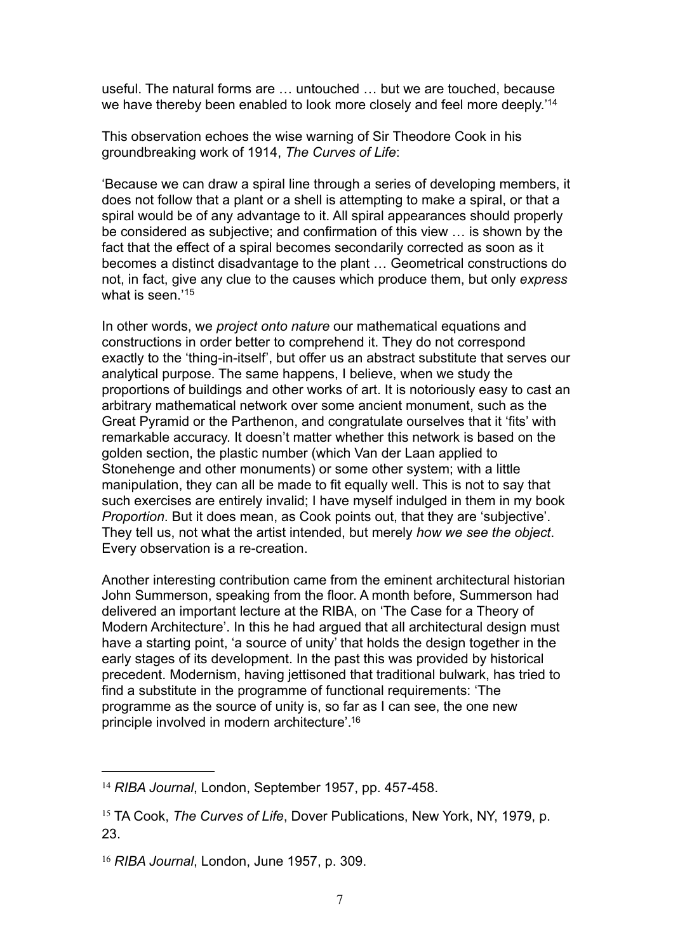useful. The natural forms are … untouched … but we are touched, because we have thereby been enabled to look more closely and feel more deeply.['14](#page-6-0)

This observation echoes the wise warning of Sir Theodore Cook in his groundbreaking work of 1914, *The Curves of Life*:

'Because we can draw a spiral line through a series of developing members, it does not follow that a plant or a shell is attempting to make a spiral, or that a spiral would be of any advantage to it. All spiral appearances should properly be considered as subjective; and confirmation of this view … is shown by the fact that the effect of a spiral becomes secondarily corrected as soon as it becomes a distinct disadvantage to the plant … Geometrical constructions do not, in fact, give any clue to the causes which produce them, but only *express* what is seen.<sup>'[15](#page-6-1)</sup>

In other words, we *project onto nature* our mathematical equations and constructions in order better to comprehend it. They do not correspond exactly to the 'thing-in-itself', but offer us an abstract substitute that serves our analytical purpose. The same happens, I believe, when we study the proportions of buildings and other works of art. It is notoriously easy to cast an arbitrary mathematical network over some ancient monument, such as the Great Pyramid or the Parthenon, and congratulate ourselves that it 'fits' with remarkable accuracy. It doesn't matter whether this network is based on the golden section, the plastic number (which Van der Laan applied to Stonehenge and other monuments) or some other system; with a little manipulation, they can all be made to fit equally well. This is not to say that such exercises are entirely invalid; I have myself indulged in them in my book *Proportion*. But it does mean, as Cook points out, that they are 'subjective'. They tell us, not what the artist intended, but merely *how we see the object*. Every observation is a re-creation.

Another interesting contribution came from the eminent architectural historian John Summerson, speaking from the floor. A month before, Summerson had delivered an important lecture at the RIBA, on 'The Case for a Theory of Modern Architecture'. In this he had argued that all architectural design must have a starting point, 'a source of unity' that holds the design together in the early stages of its development. In the past this was provided by historical precedent. Modernism, having jettisoned that traditional bulwark, has tried to find a substitute in the programme of functional requirements: 'The programme as the source of unity is, so far as I can see, the one new principle involved in modern architecture'[.16](#page-6-2)

<span id="page-6-0"></span><sup>14</sup> *RIBA Journal*, London, September 1957, pp. 457-458.

<span id="page-6-1"></span><sup>15</sup> TA Cook, *The Curves of Life*, Dover Publications, New York, NY, 1979, p. 23.

<span id="page-6-2"></span><sup>16</sup> *RIBA Journal*, London, June 1957, p. 309.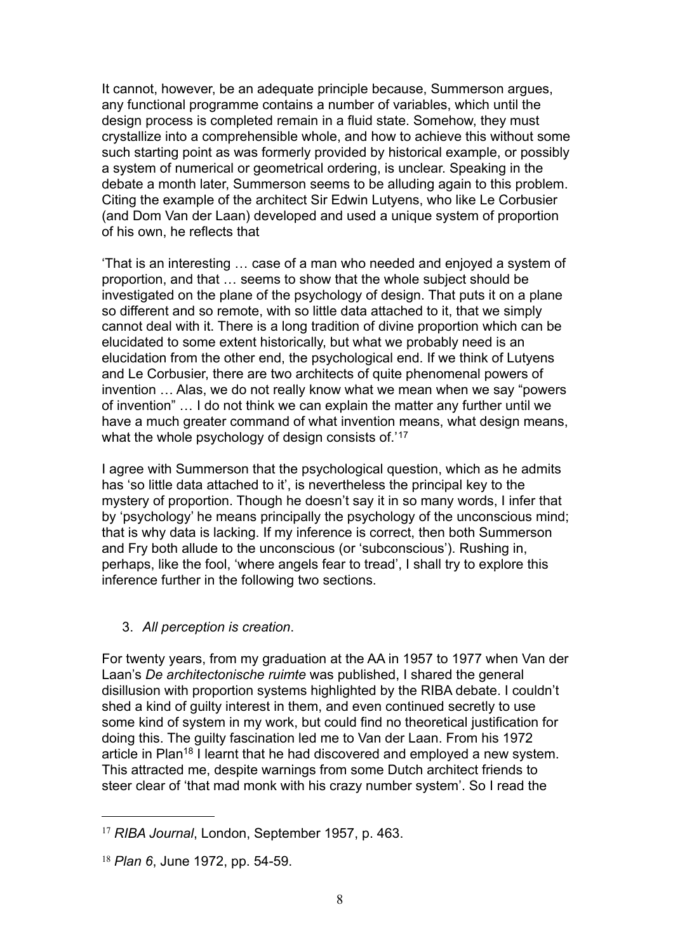It cannot, however, be an adequate principle because, Summerson argues, any functional programme contains a number of variables, which until the design process is completed remain in a fluid state. Somehow, they must crystallize into a comprehensible whole, and how to achieve this without some such starting point as was formerly provided by historical example, or possibly a system of numerical or geometrical ordering, is unclear. Speaking in the debate a month later, Summerson seems to be alluding again to this problem. Citing the example of the architect Sir Edwin Lutyens, who like Le Corbusier (and Dom Van der Laan) developed and used a unique system of proportion of his own, he reflects that

'That is an interesting … case of a man who needed and enjoyed a system of proportion, and that … seems to show that the whole subject should be investigated on the plane of the psychology of design. That puts it on a plane so different and so remote, with so little data attached to it, that we simply cannot deal with it. There is a long tradition of divine proportion which can be elucidated to some extent historically, but what we probably need is an elucidation from the other end, the psychological end. If we think of Lutyens and Le Corbusier, there are two architects of quite phenomenal powers of invention … Alas, we do not really know what we mean when we say "powers of invention" … I do not think we can explain the matter any further until we have a much greater command of what invention means, what design means, what the whole psychology of design consists of.<sup>'[17](#page-7-0)</sup>

I agree with Summerson that the psychological question, which as he admits has 'so little data attached to it', is nevertheless the principal key to the mystery of proportion. Though he doesn't say it in so many words, I infer that by 'psychology' he means principally the psychology of the unconscious mind; that is why data is lacking. If my inference is correct, then both Summerson and Fry both allude to the unconscious (or 'subconscious'). Rushing in, perhaps, like the fool, 'where angels fear to tread', I shall try to explore this inference further in the following two sections.

3. *All perception is creation*.

For twenty years, from my graduation at the AA in 1957 to 1977 when Van der Laan's *De architectonische ruimte* was published, I shared the general disillusion with proportion systems highlighted by the RIBA debate. I couldn't shed a kind of guilty interest in them, and even continued secretly to use some kind of system in my work, but could find no theoretical justification for doing this. The guilty fascination led me to Van der Laan. From his 1972 article in Plan<sup>18</sup> I learnt that he had discovered and employed a new system. This attracted me, despite warnings from some Dutch architect friends to steer clear of 'that mad monk with his crazy number system'. So I read the

<span id="page-7-0"></span><sup>17</sup> *RIBA Journal*, London, September 1957, p. 463.

<span id="page-7-1"></span><sup>18</sup> *Plan 6*, June 1972, pp. 54-59.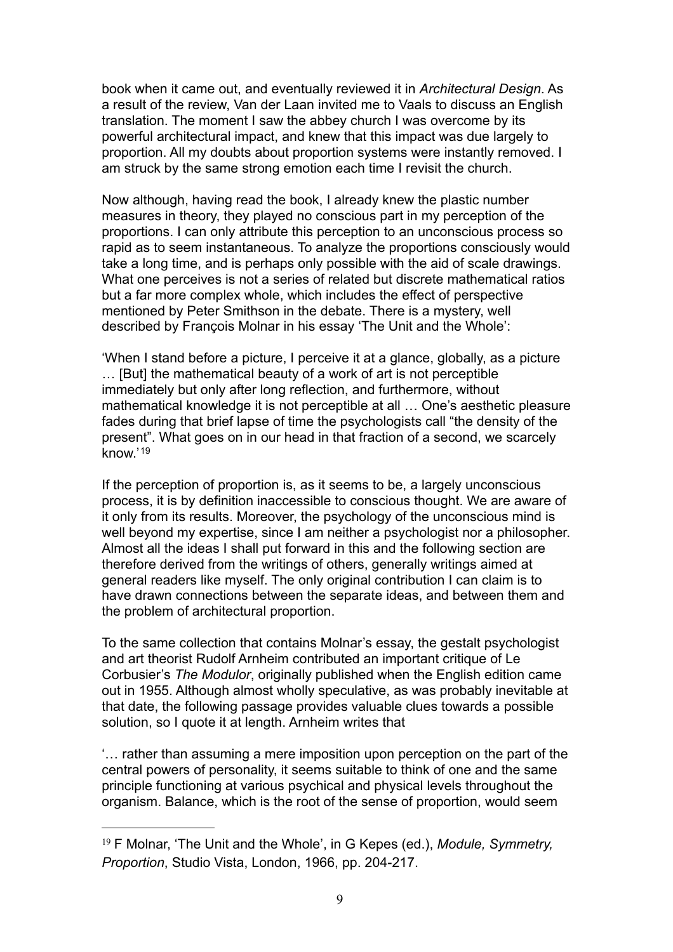book when it came out, and eventually reviewed it in *Architectural Design*. As a result of the review, Van der Laan invited me to Vaals to discuss an English translation. The moment I saw the abbey church I was overcome by its powerful architectural impact, and knew that this impact was due largely to proportion. All my doubts about proportion systems were instantly removed. I am struck by the same strong emotion each time I revisit the church.

Now although, having read the book, I already knew the plastic number measures in theory, they played no conscious part in my perception of the proportions. I can only attribute this perception to an unconscious process so rapid as to seem instantaneous. To analyze the proportions consciously would take a long time, and is perhaps only possible with the aid of scale drawings. What one perceives is not a series of related but discrete mathematical ratios but a far more complex whole, which includes the effect of perspective mentioned by Peter Smithson in the debate. There is a mystery, well described by François Molnar in his essay 'The Unit and the Whole':

'When I stand before a picture, I perceive it at a glance, globally, as a picture … [But] the mathematical beauty of a work of art is not perceptible immediately but only after long reflection, and furthermore, without mathematical knowledge it is not perceptible at all … One's aesthetic pleasure fades during that brief lapse of time the psychologists call "the density of the present". What goes on in our head in that fraction of a second, we scarcely know.'[19](#page-8-0)

If the perception of proportion is, as it seems to be, a largely unconscious process, it is by definition inaccessible to conscious thought. We are aware of it only from its results. Moreover, the psychology of the unconscious mind is well beyond my expertise, since I am neither a psychologist nor a philosopher. Almost all the ideas I shall put forward in this and the following section are therefore derived from the writings of others, generally writings aimed at general readers like myself. The only original contribution I can claim is to have drawn connections between the separate ideas, and between them and the problem of architectural proportion.

To the same collection that contains Molnar's essay, the gestalt psychologist and art theorist Rudolf Arnheim contributed an important critique of Le Corbusier's *The Modulor*, originally published when the English edition came out in 1955. Although almost wholly speculative, as was probably inevitable at that date, the following passage provides valuable clues towards a possible solution, so I quote it at length. Arnheim writes that

'… rather than assuming a mere imposition upon perception on the part of the central powers of personality, it seems suitable to think of one and the same principle functioning at various psychical and physical levels throughout the organism. Balance, which is the root of the sense of proportion, would seem

<span id="page-8-0"></span><sup>19</sup> F Molnar, 'The Unit and the Whole', in G Kepes (ed.), *Module, Symmetry, Proportion*, Studio Vista, London, 1966, pp. 204-217.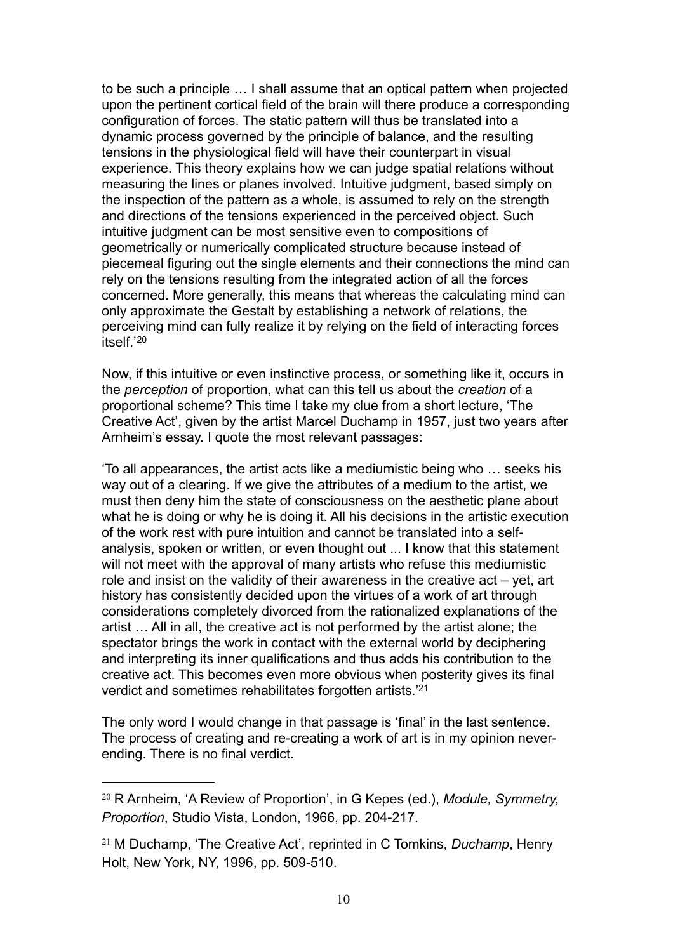to be such a principle … I shall assume that an optical pattern when projected upon the pertinent cortical field of the brain will there produce a corresponding configuration of forces. The static pattern will thus be translated into a dynamic process governed by the principle of balance, and the resulting tensions in the physiological field will have their counterpart in visual experience. This theory explains how we can judge spatial relations without measuring the lines or planes involved. Intuitive judgment, based simply on the inspection of the pattern as a whole, is assumed to rely on the strength and directions of the tensions experienced in the perceived object. Such intuitive judgment can be most sensitive even to compositions of geometrically or numerically complicated structure because instead of piecemeal figuring out the single elements and their connections the mind can rely on the tensions resulting from the integrated action of all the forces concerned. More generally, this means that whereas the calculating mind can only approximate the Gestalt by establishing a network of relations, the perceiving mind can fully realize it by relying on the field of interacting forces itself.'[20](#page-9-0) 

Now, if this intuitive or even instinctive process, or something like it, occurs in the *perception* of proportion, what can this tell us about the *creation* of a proportional scheme? This time I take my clue from a short lecture, 'The Creative Act', given by the artist Marcel Duchamp in 1957, just two years after Arnheim's essay. I quote the most relevant passages:

'To all appearances, the artist acts like a mediumistic being who … seeks his way out of a clearing. If we give the attributes of a medium to the artist, we must then deny him the state of consciousness on the aesthetic plane about what he is doing or why he is doing it. All his decisions in the artistic execution of the work rest with pure intuition and cannot be translated into a selfanalysis, spoken or written, or even thought out ... I know that this statement will not meet with the approval of many artists who refuse this mediumistic role and insist on the validity of their awareness in the creative act – yet, art history has consistently decided upon the virtues of a work of art through considerations completely divorced from the rationalized explanations of the artist … All in all, the creative act is not performed by the artist alone; the spectator brings the work in contact with the external world by deciphering and interpreting its inner qualifications and thus adds his contribution to the creative act. This becomes even more obvious when posterity gives its final verdict and sometimes rehabilitates forgotten artists.['21](#page-9-1)

The only word I would change in that passage is 'final' in the last sentence. The process of creating and re-creating a work of art is in my opinion neverending. There is no final verdict.

<span id="page-9-0"></span><sup>20</sup> R Arnheim, 'A Review of Proportion', in G Kepes (ed.), *Module, Symmetry, Proportion*, Studio Vista, London, 1966, pp. 204-217.

<span id="page-9-1"></span><sup>21</sup> M Duchamp, 'The Creative Act', reprinted in C Tomkins, *Duchamp*, Henry Holt, New York, NY, 1996, pp. 509-510.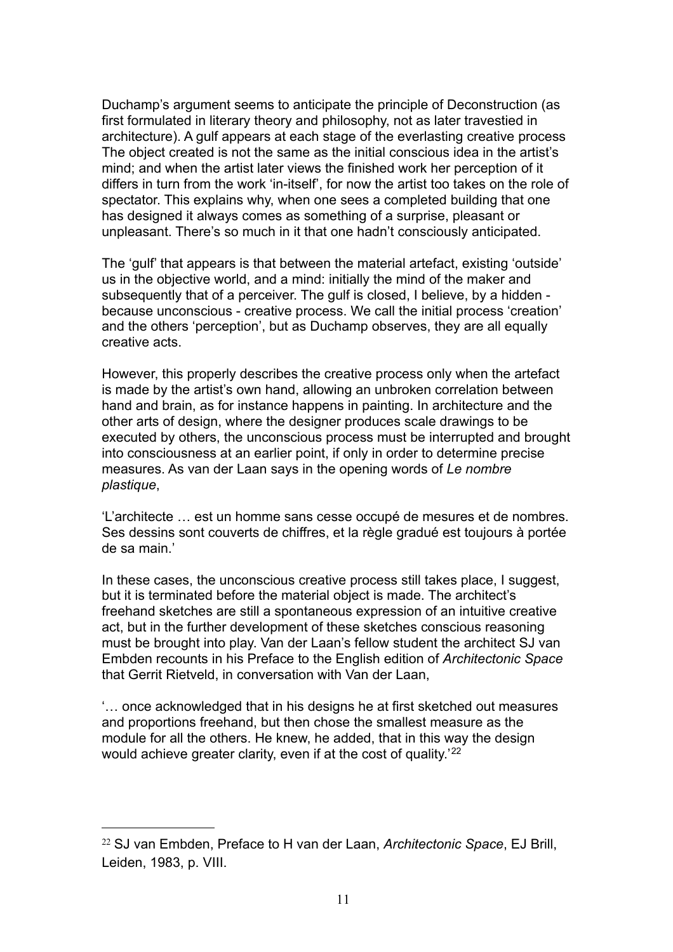Duchamp's argument seems to anticipate the principle of Deconstruction (as first formulated in literary theory and philosophy, not as later travestied in architecture). A gulf appears at each stage of the everlasting creative process The object created is not the same as the initial conscious idea in the artist's mind; and when the artist later views the finished work her perception of it differs in turn from the work 'in-itself', for now the artist too takes on the role of spectator. This explains why, when one sees a completed building that one has designed it always comes as something of a surprise, pleasant or unpleasant. There's so much in it that one hadn't consciously anticipated.

The 'gulf' that appears is that between the material artefact, existing 'outside' us in the objective world, and a mind: initially the mind of the maker and subsequently that of a perceiver. The gulf is closed, I believe, by a hidden because unconscious - creative process. We call the initial process 'creation' and the others 'perception', but as Duchamp observes, they are all equally creative acts.

However, this properly describes the creative process only when the artefact is made by the artist's own hand, allowing an unbroken correlation between hand and brain, as for instance happens in painting. In architecture and the other arts of design, where the designer produces scale drawings to be executed by others, the unconscious process must be interrupted and brought into consciousness at an earlier point, if only in order to determine precise measures. As van der Laan says in the opening words of *Le nombre plastique*,

'L'architecte … est un homme sans cesse occupé de mesures et de nombres. Ses dessins sont couverts de chiffres, et la règle gradué est toujours à portée de sa main.'

In these cases, the unconscious creative process still takes place, I suggest, but it is terminated before the material object is made. The architect's freehand sketches are still a spontaneous expression of an intuitive creative act, but in the further development of these sketches conscious reasoning must be brought into play. Van der Laan's fellow student the architect SJ van Embden recounts in his Preface to the English edition of *Architectonic Space* that Gerrit Rietveld, in conversation with Van der Laan,

'… once acknowledged that in his designs he at first sketched out measures and proportions freehand, but then chose the smallest measure as the module for all the others. He knew, he added, that in this way the design would achieve greater clarity, even if at the cost of quality.<sup>'[22](#page-10-0)</sup>

<span id="page-10-0"></span><sup>22</sup> SJ van Embden, Preface to H van der Laan, *Architectonic Space*, EJ Brill, Leiden, 1983, p. VIII.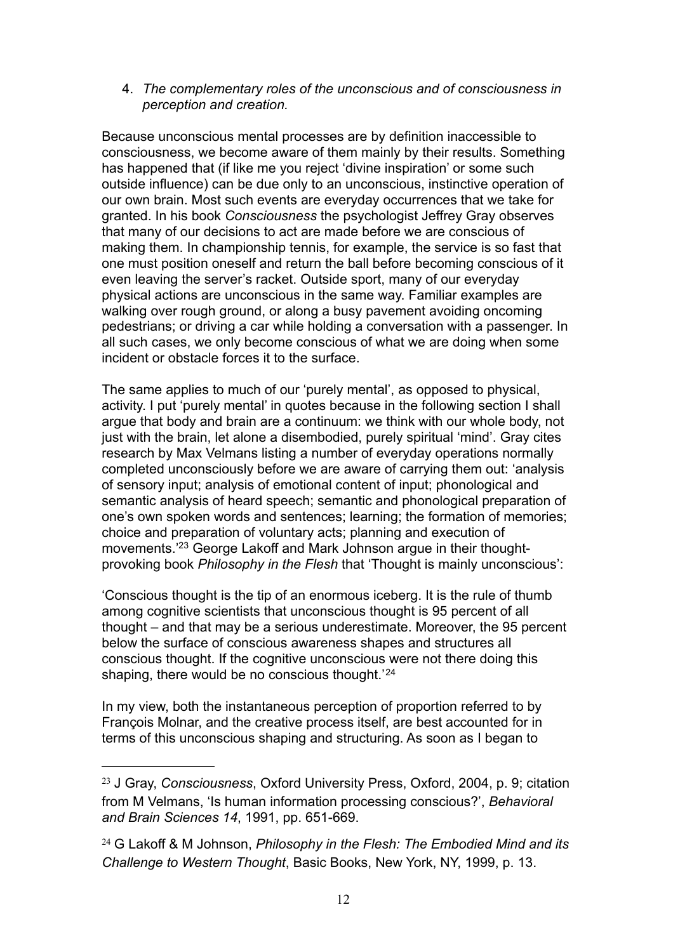#### 4. *The complementary roles of the unconscious and of consciousness in perception and creation.*

Because unconscious mental processes are by definition inaccessible to consciousness, we become aware of them mainly by their results. Something has happened that (if like me you reject 'divine inspiration' or some such outside influence) can be due only to an unconscious, instinctive operation of our own brain. Most such events are everyday occurrences that we take for granted. In his book *Consciousness* the psychologist Jeffrey Gray observes that many of our decisions to act are made before we are conscious of making them. In championship tennis, for example, the service is so fast that one must position oneself and return the ball before becoming conscious of it even leaving the server's racket. Outside sport, many of our everyday physical actions are unconscious in the same way. Familiar examples are walking over rough ground, or along a busy pavement avoiding oncoming pedestrians; or driving a car while holding a conversation with a passenger. In all such cases, we only become conscious of what we are doing when some incident or obstacle forces it to the surface.

The same applies to much of our 'purely mental', as opposed to physical, activity. I put 'purely mental' in quotes because in the following section I shall argue that body and brain are a continuum: we think with our whole body, not just with the brain, let alone a disembodied, purely spiritual 'mind'. Gray cites research by Max Velmans listing a number of everyday operations normally completed unconsciously before we are aware of carrying them out: 'analysis of sensory input; analysis of emotional content of input; phonological and semantic analysis of heard speech; semantic and phonological preparation of one's own spoken words and sentences; learning; the formation of memories; choice and preparation of voluntary acts; planning and execution of movements.['23](#page-11-0) George Lakoff and Mark Johnson argue in their thoughtprovoking book *Philosophy in the Flesh* that 'Thought is mainly unconscious':

'Conscious thought is the tip of an enormous iceberg. It is the rule of thumb among cognitive scientists that unconscious thought is 95 percent of all thought – and that may be a serious underestimate. Moreover, the 95 percent below the surface of conscious awareness shapes and structures all conscious thought. If the cognitive unconscious were not there doing this shaping, there would be no conscious thought.<sup>'[24](#page-11-1)</sup>

In my view, both the instantaneous perception of proportion referred to by François Molnar, and the creative process itself, are best accounted for in terms of this unconscious shaping and structuring. As soon as I began to

<span id="page-11-0"></span><sup>23</sup> J Gray, *Consciousness*, Oxford University Press, Oxford, 2004, p. 9; citation from M Velmans, 'Is human information processing conscious?', *Behavioral and Brain Sciences 14*, 1991, pp. 651-669.

<span id="page-11-1"></span><sup>24</sup> G Lakoff & M Johnson, *Philosophy in the Flesh: The Embodied Mind and its Challenge to Western Thought*, Basic Books, New York, NY, 1999, p. 13.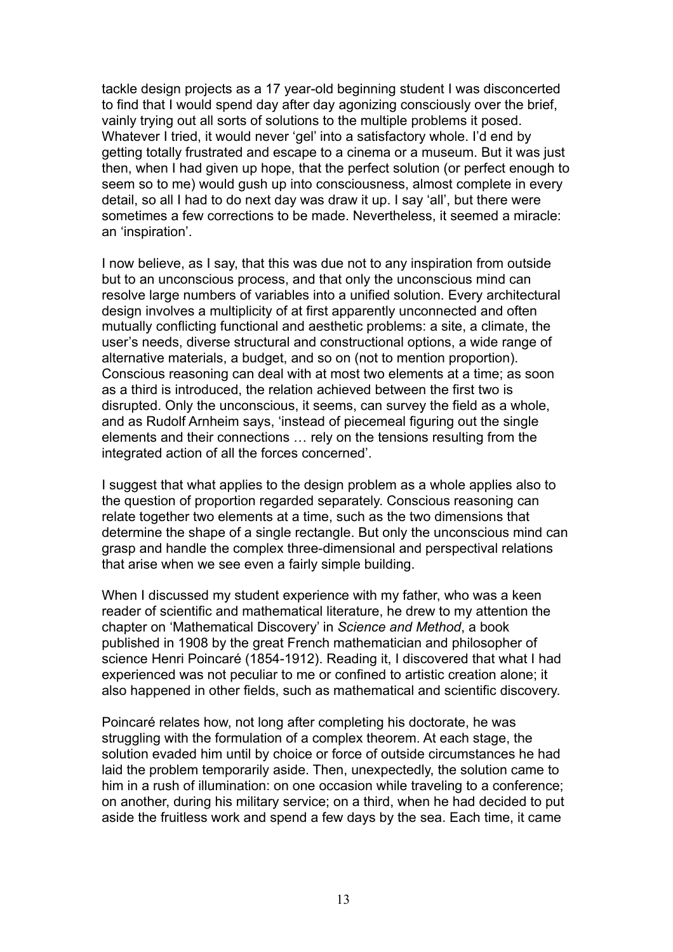tackle design projects as a 17 year-old beginning student I was disconcerted to find that I would spend day after day agonizing consciously over the brief, vainly trying out all sorts of solutions to the multiple problems it posed. Whatever I tried, it would never 'gel' into a satisfactory whole. I'd end by getting totally frustrated and escape to a cinema or a museum. But it was just then, when I had given up hope, that the perfect solution (or perfect enough to seem so to me) would gush up into consciousness, almost complete in every detail, so all I had to do next day was draw it up. I say 'all', but there were sometimes a few corrections to be made. Nevertheless, it seemed a miracle: an 'inspiration'.

I now believe, as I say, that this was due not to any inspiration from outside but to an unconscious process, and that only the unconscious mind can resolve large numbers of variables into a unified solution. Every architectural design involves a multiplicity of at first apparently unconnected and often mutually conflicting functional and aesthetic problems: a site, a climate, the user's needs, diverse structural and constructional options, a wide range of alternative materials, a budget, and so on (not to mention proportion). Conscious reasoning can deal with at most two elements at a time; as soon as a third is introduced, the relation achieved between the first two is disrupted. Only the unconscious, it seems, can survey the field as a whole, and as Rudolf Arnheim says, 'instead of piecemeal figuring out the single elements and their connections … rely on the tensions resulting from the integrated action of all the forces concerned'.

I suggest that what applies to the design problem as a whole applies also to the question of proportion regarded separately. Conscious reasoning can relate together two elements at a time, such as the two dimensions that determine the shape of a single rectangle. But only the unconscious mind can grasp and handle the complex three-dimensional and perspectival relations that arise when we see even a fairly simple building.

When I discussed my student experience with my father, who was a keen reader of scientific and mathematical literature, he drew to my attention the chapter on 'Mathematical Discovery' in *Science and Method*, a book published in 1908 by the great French mathematician and philosopher of science Henri Poincaré (1854-1912). Reading it, I discovered that what I had experienced was not peculiar to me or confined to artistic creation alone; it also happened in other fields, such as mathematical and scientific discovery.

Poincaré relates how, not long after completing his doctorate, he was struggling with the formulation of a complex theorem. At each stage, the solution evaded him until by choice or force of outside circumstances he had laid the problem temporarily aside. Then, unexpectedly, the solution came to him in a rush of illumination: on one occasion while traveling to a conference; on another, during his military service; on a third, when he had decided to put aside the fruitless work and spend a few days by the sea. Each time, it came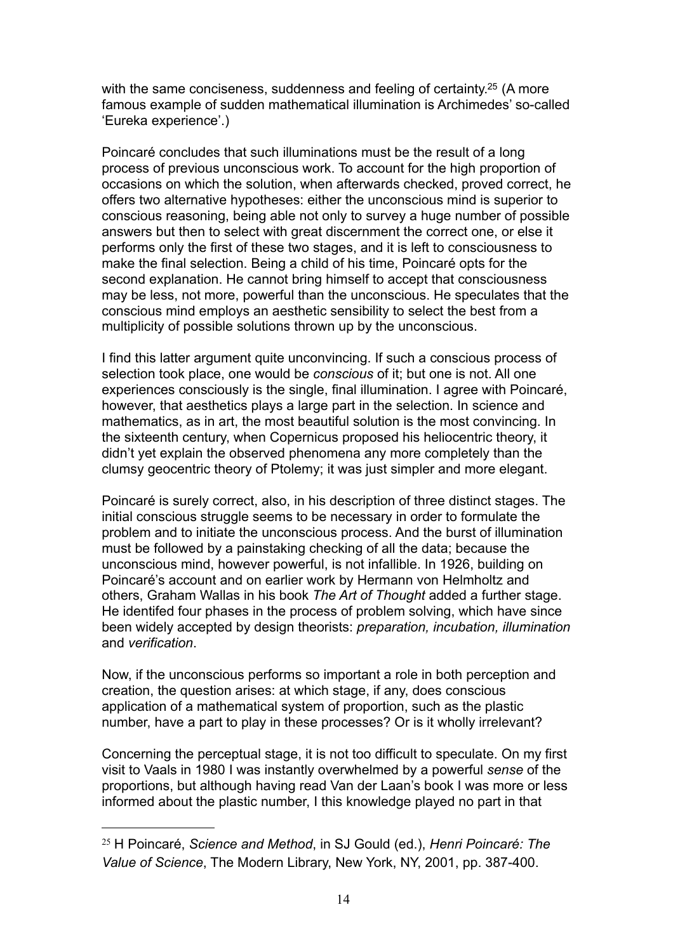with the same conciseness, suddenness and feeling of certainty.<sup>25</sup> (A more famous example of sudden mathematical illumination is Archimedes' so-called 'Eureka experience'.)

Poincaré concludes that such illuminations must be the result of a long process of previous unconscious work. To account for the high proportion of occasions on which the solution, when afterwards checked, proved correct, he offers two alternative hypotheses: either the unconscious mind is superior to conscious reasoning, being able not only to survey a huge number of possible answers but then to select with great discernment the correct one, or else it performs only the first of these two stages, and it is left to consciousness to make the final selection. Being a child of his time, Poincaré opts for the second explanation. He cannot bring himself to accept that consciousness may be less, not more, powerful than the unconscious. He speculates that the conscious mind employs an aesthetic sensibility to select the best from a multiplicity of possible solutions thrown up by the unconscious.

I find this latter argument quite unconvincing. If such a conscious process of selection took place, one would be *conscious* of it; but one is not. All one experiences consciously is the single, final illumination. I agree with Poincaré, however, that aesthetics plays a large part in the selection. In science and mathematics, as in art, the most beautiful solution is the most convincing. In the sixteenth century, when Copernicus proposed his heliocentric theory, it didn't yet explain the observed phenomena any more completely than the clumsy geocentric theory of Ptolemy; it was just simpler and more elegant.

Poincaré is surely correct, also, in his description of three distinct stages. The initial conscious struggle seems to be necessary in order to formulate the problem and to initiate the unconscious process. And the burst of illumination must be followed by a painstaking checking of all the data; because the unconscious mind, however powerful, is not infallible. In 1926, building on Poincaré's account and on earlier work by Hermann von Helmholtz and others, Graham Wallas in his book *The Art of Thought* added a further stage. He identifed four phases in the process of problem solving, which have since been widely accepted by design theorists: *preparation, incubation, illumination* and *verification*.

Now, if the unconscious performs so important a role in both perception and creation, the question arises: at which stage, if any, does conscious application of a mathematical system of proportion, such as the plastic number, have a part to play in these processes? Or is it wholly irrelevant?

Concerning the perceptual stage, it is not too difficult to speculate. On my first visit to Vaals in 1980 I was instantly overwhelmed by a powerful *sense* of the proportions, but although having read Van der Laan's book I was more or less informed about the plastic number, I this knowledge played no part in that

<span id="page-13-0"></span><sup>25</sup> H Poincaré, *Science and Method*, in SJ Gould (ed.), *Henri Poincaré: The Value of Science*, The Modern Library, New York, NY, 2001, pp. 387-400.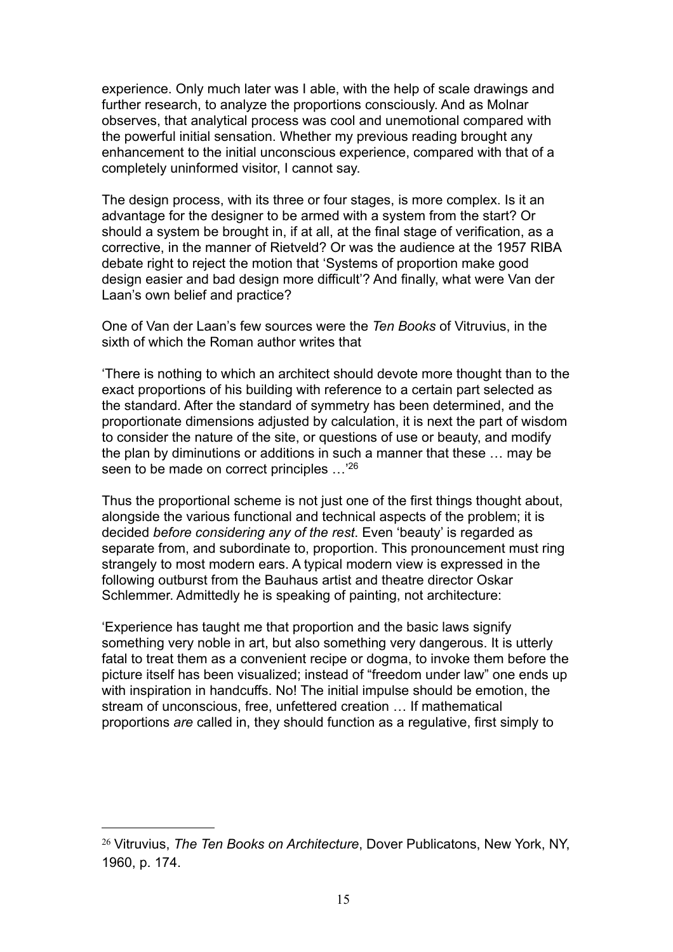experience. Only much later was I able, with the help of scale drawings and further research, to analyze the proportions consciously. And as Molnar observes, that analytical process was cool and unemotional compared with the powerful initial sensation. Whether my previous reading brought any enhancement to the initial unconscious experience, compared with that of a completely uninformed visitor, I cannot say.

The design process, with its three or four stages, is more complex. Is it an advantage for the designer to be armed with a system from the start? Or should a system be brought in, if at all, at the final stage of verification, as a corrective, in the manner of Rietveld? Or was the audience at the 1957 RIBA debate right to reject the motion that 'Systems of proportion make good design easier and bad design more difficult'? And finally, what were Van der Laan's own belief and practice?

One of Van der Laan's few sources were the *Ten Books* of Vitruvius, in the sixth of which the Roman author writes that

'There is nothing to which an architect should devote more thought than to the exact proportions of his building with reference to a certain part selected as the standard. After the standard of symmetry has been determined, and the proportionate dimensions adjusted by calculation, it is next the part of wisdom to consider the nature of the site, or questions of use or beauty, and modify the plan by diminutions or additions in such a manner that these … may be seen to be made on correct principles ...<sup>['26](#page-14-0)</sup>

Thus the proportional scheme is not just one of the first things thought about, alongside the various functional and technical aspects of the problem; it is decided *before considering any of the rest*. Even 'beauty' is regarded as separate from, and subordinate to, proportion. This pronouncement must ring strangely to most modern ears. A typical modern view is expressed in the following outburst from the Bauhaus artist and theatre director Oskar Schlemmer. Admittedly he is speaking of painting, not architecture:

'Experience has taught me that proportion and the basic laws signify something very noble in art, but also something very dangerous. It is utterly fatal to treat them as a convenient recipe or dogma, to invoke them before the picture itself has been visualized; instead of "freedom under law" one ends up with inspiration in handcuffs. No! The initial impulse should be emotion, the stream of unconscious, free, unfettered creation … If mathematical proportions *are* called in, they should function as a regulative, first simply to

<span id="page-14-0"></span><sup>26</sup> Vitruvius, *The Ten Books on Architecture*, Dover Publicatons, New York, NY, 1960, p. 174.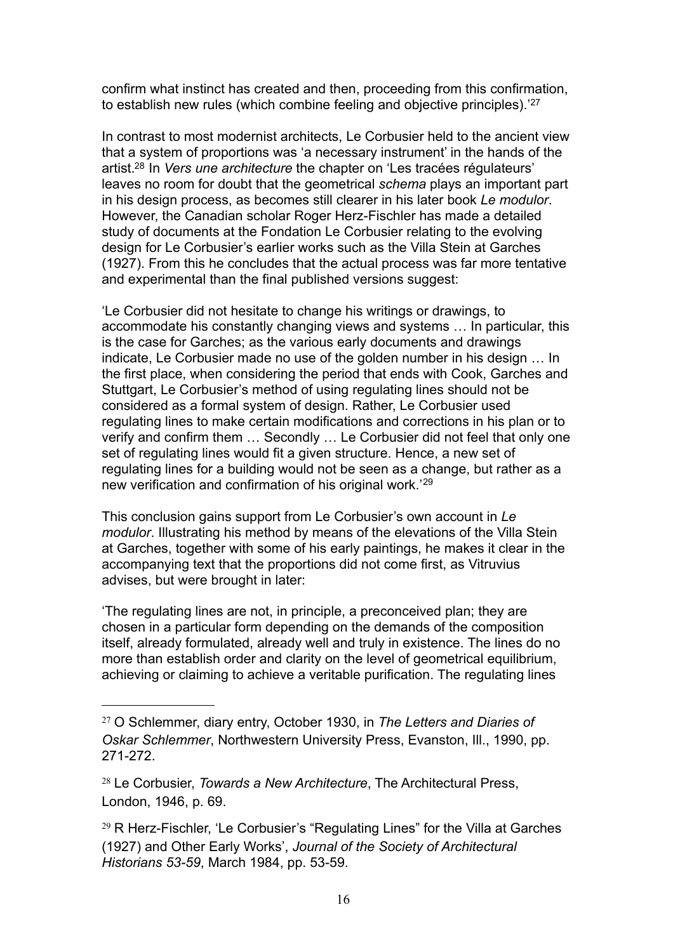confirm what instinct has created and then, proceeding from this confirmation, to establish new rules (which combine feeling and objective principles).'[27](#page-15-0)

In contrast to most modernist architects, Le Corbusier held to the ancient view that a system of proportions was 'a necessary instrument' in the hands of the artist[.28](#page-15-1) In *Vers une architecture* the chapter on 'Les tracées régulateurs' leaves no room for doubt that the geometrical *schema* plays an important part in his design process, as becomes still clearer in his later book *Le modulor*. However, the Canadian scholar Roger Herz-Fischler has made a detailed study of documents at the Fondation Le Corbusier relating to the evolving design for Le Corbusier's earlier works such as the Villa Stein at Garches (1927). From this he concludes that the actual process was far more tentative and experimental than the final published versions suggest:

'Le Corbusier did not hesitate to change his writings or drawings, to accommodate his constantly changing views and systems … In particular, this is the case for Garches; as the various early documents and drawings indicate, Le Corbusier made no use of the golden number in his design … In the first place, when considering the period that ends with Cook, Garches and Stuttgart, Le Corbusier's method of using regulating lines should not be considered as a formal system of design. Rather, Le Corbusier used regulating lines to make certain modifications and corrections in his plan or to verify and confirm them … Secondly … Le Corbusier did not feel that only one set of regulating lines would fit a given structure. Hence, a new set of regulating lines for a building would not be seen as a change, but rather as a new verification and confirmation of his original work.'[29](#page-15-2)

This conclusion gains support from Le Corbusier's own account in *Le modulor*. Illustrating his method by means of the elevations of the Villa Stein at Garches, together with some of his early paintings, he makes it clear in the accompanying text that the proportions did not come first, as Vitruvius advises, but were brought in later:

'The regulating lines are not, in principle, a preconceived plan; they are chosen in a particular form depending on the demands of the composition itself, already formulated, already well and truly in existence. The lines do no more than establish order and clarity on the level of geometrical equilibrium, achieving or claiming to achieve a veritable purification. The regulating lines

<span id="page-15-0"></span><sup>27</sup> O Schlemmer, diary entry, October 1930, in *The Letters and Diaries of Oskar Schlemmer*, Northwestern University Press, Evanston, Ill., 1990, pp. 271-272.

<span id="page-15-1"></span><sup>28</sup> Le Corbusier, *Towards a New Architecture*, The Architectural Press, London, 1946, p. 69.

<span id="page-15-2"></span> $29$  R Herz-Fischler, 'Le Corbusier's "Regulating Lines" for the Villa at Garches (1927) and Other Early Works', *Journal of the Society of Architectural Historians 53-59*, March 1984, pp. 53-59.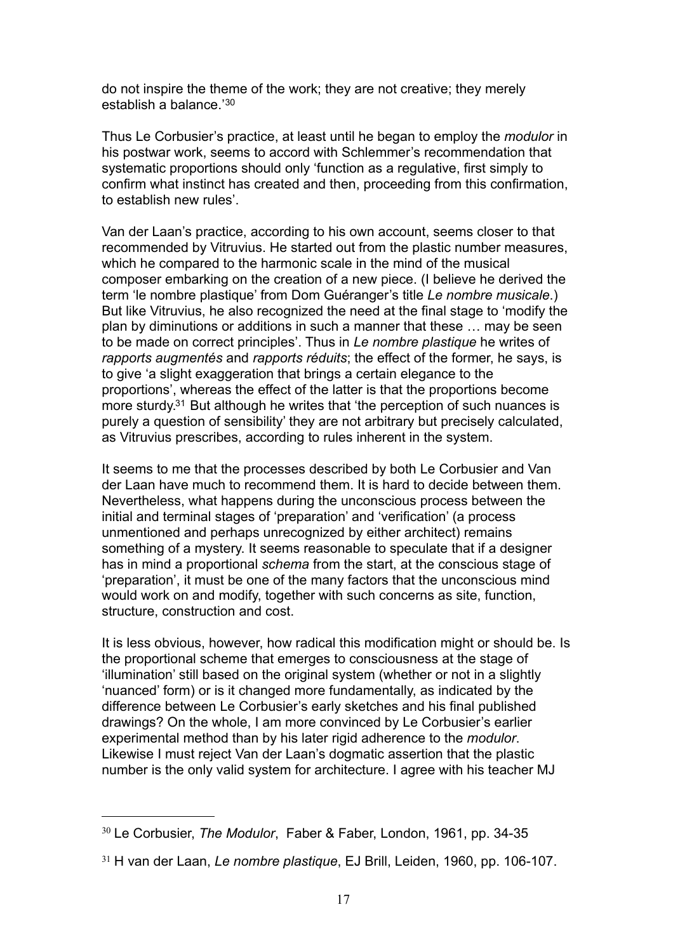do not inspire the theme of the work; they are not creative; they merely establish a balance.'[30](#page-16-0)

Thus Le Corbusier's practice, at least until he began to employ the *modulor* in his postwar work, seems to accord with Schlemmer's recommendation that systematic proportions should only 'function as a regulative, first simply to confirm what instinct has created and then, proceeding from this confirmation, to establish new rules'.

Van der Laan's practice, according to his own account, seems closer to that recommended by Vitruvius. He started out from the plastic number measures, which he compared to the harmonic scale in the mind of the musical composer embarking on the creation of a new piece. (I believe he derived the term 'le nombre plastique' from Dom Guéranger's title *Le nombre musicale*.) But like Vitruvius, he also recognized the need at the final stage to 'modify the plan by diminutions or additions in such a manner that these … may be seen to be made on correct principles'. Thus in *Le nombre plastique* he writes of *rapports augmentés* and *rapports réduits*; the effect of the former, he says, is to give 'a slight exaggeration that brings a certain elegance to the proportions', whereas the effect of the latter is that the proportions become more sturdy[.31](#page-16-1) But although he writes that 'the perception of such nuances is purely a question of sensibility' they are not arbitrary but precisely calculated, as Vitruvius prescribes, according to rules inherent in the system.

It seems to me that the processes described by both Le Corbusier and Van der Laan have much to recommend them. It is hard to decide between them. Nevertheless, what happens during the unconscious process between the initial and terminal stages of 'preparation' and 'verification' (a process unmentioned and perhaps unrecognized by either architect) remains something of a mystery. It seems reasonable to speculate that if a designer has in mind a proportional *schema* from the start, at the conscious stage of 'preparation', it must be one of the many factors that the unconscious mind would work on and modify, together with such concerns as site, function, structure, construction and cost.

It is less obvious, however, how radical this modification might or should be. Is the proportional scheme that emerges to consciousness at the stage of 'illumination' still based on the original system (whether or not in a slightly 'nuanced' form) or is it changed more fundamentally, as indicated by the difference between Le Corbusier's early sketches and his final published drawings? On the whole, I am more convinced by Le Corbusier's earlier experimental method than by his later rigid adherence to the *modulor*. Likewise I must reject Van der Laan's dogmatic assertion that the plastic number is the only valid system for architecture. I agree with his teacher MJ

<span id="page-16-0"></span><sup>30</sup> Le Corbusier, *The Modulor*, Faber & Faber, London, 1961, pp. 34-35

<span id="page-16-1"></span><sup>31</sup> H van der Laan, *Le nombre plastique*, EJ Brill, Leiden, 1960, pp. 106-107.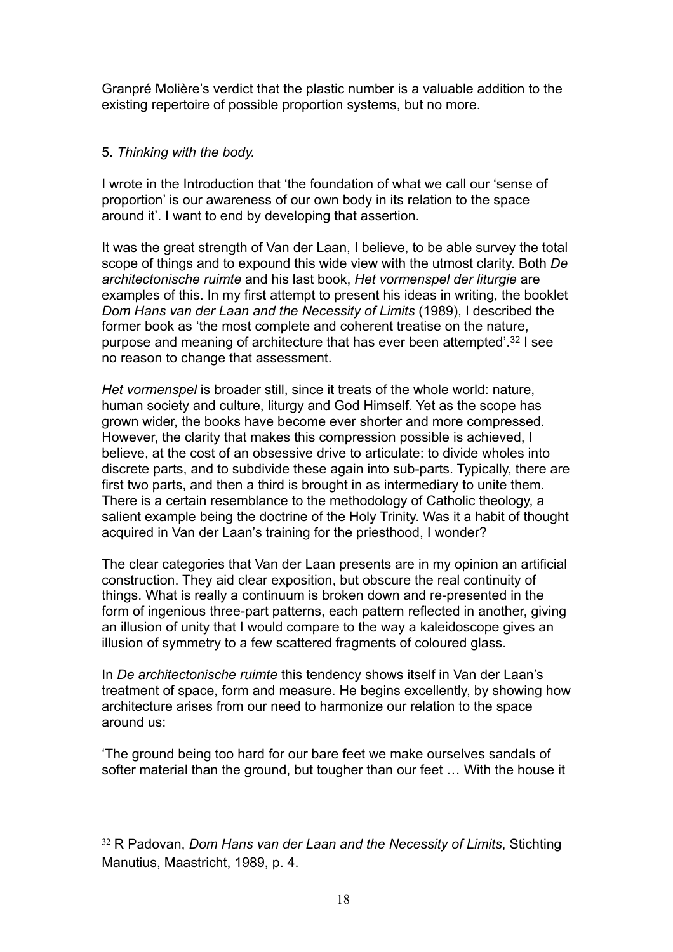Granpré Molière's verdict that the plastic number is a valuable addition to the existing repertoire of possible proportion systems, but no more.

# 5. *Thinking with the body.*

I wrote in the Introduction that 'the foundation of what we call our 'sense of proportion' is our awareness of our own body in its relation to the space around it'. I want to end by developing that assertion.

It was the great strength of Van der Laan, I believe, to be able survey the total scope of things and to expound this wide view with the utmost clarity. Both *De architectonische ruimte* and his last book, *Het vormenspel der liturgie* are examples of this. In my first attempt to present his ideas in writing, the booklet *Dom Hans van der Laan and the Necessity of Limits* (1989), I described the former book as 'the most complete and coherent treatise on the nature, purpose and meaning of architecture that has ever been attempted'.[32](#page-17-0) I see no reason to change that assessment.

*Het vormenspel* is broader still, since it treats of the whole world: nature, human society and culture, liturgy and God Himself. Yet as the scope has grown wider, the books have become ever shorter and more compressed. However, the clarity that makes this compression possible is achieved, I believe, at the cost of an obsessive drive to articulate: to divide wholes into discrete parts, and to subdivide these again into sub-parts. Typically, there are first two parts, and then a third is brought in as intermediary to unite them. There is a certain resemblance to the methodology of Catholic theology, a salient example being the doctrine of the Holy Trinity. Was it a habit of thought acquired in Van der Laan's training for the priesthood, I wonder?

The clear categories that Van der Laan presents are in my opinion an artificial construction. They aid clear exposition, but obscure the real continuity of things. What is really a continuum is broken down and re-presented in the form of ingenious three-part patterns, each pattern reflected in another, giving an illusion of unity that I would compare to the way a kaleidoscope gives an illusion of symmetry to a few scattered fragments of coloured glass.

In *De architectonische ruimte* this tendency shows itself in Van der Laan's treatment of space, form and measure. He begins excellently, by showing how architecture arises from our need to harmonize our relation to the space around us:

'The ground being too hard for our bare feet we make ourselves sandals of softer material than the ground, but tougher than our feet … With the house it

<span id="page-17-0"></span><sup>32</sup> R Padovan, *Dom Hans van der Laan and the Necessity of Limits*, Stichting Manutius, Maastricht, 1989, p. 4.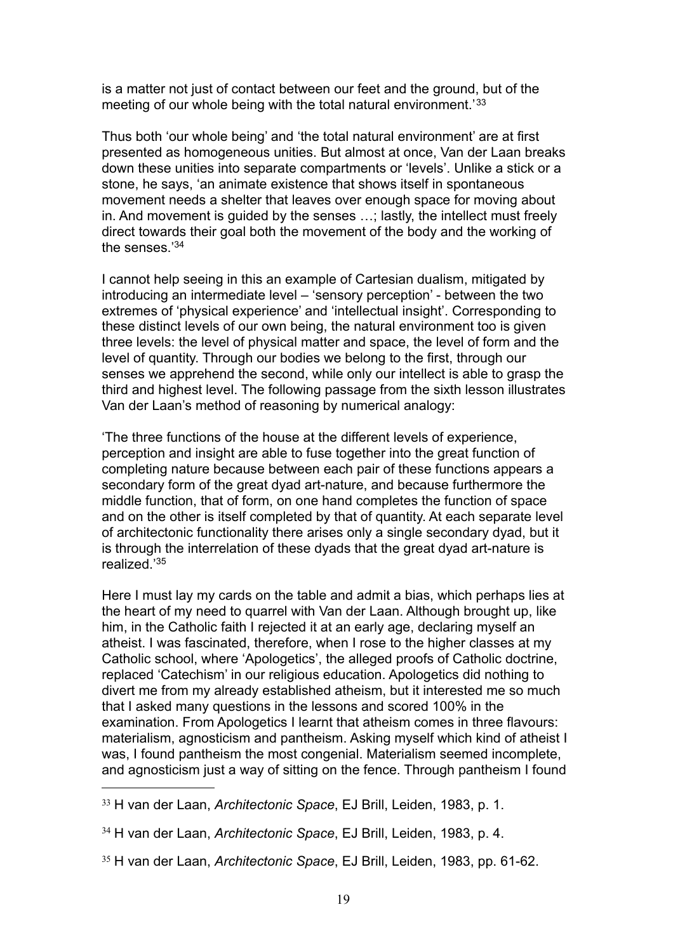is a matter not just of contact between our feet and the ground, but of the meeting of our whole being with the total natural environment.<sup>[33](#page-18-0)</sup>

Thus both 'our whole being' and 'the total natural environment' are at first presented as homogeneous unities. But almost at once, Van der Laan breaks down these unities into separate compartments or 'levels'. Unlike a stick or a stone, he says, 'an animate existence that shows itself in spontaneous movement needs a shelter that leaves over enough space for moving about in. And movement is guided by the senses …; lastly, the intellect must freely direct towards their goal both the movement of the body and the working of the senses.<sup>'34</sup>

I cannot help seeing in this an example of Cartesian dualism, mitigated by introducing an intermediate level – 'sensory perception' - between the two extremes of 'physical experience' and 'intellectual insight'. Corresponding to these distinct levels of our own being, the natural environment too is given three levels: the level of physical matter and space, the level of form and the level of quantity. Through our bodies we belong to the first, through our senses we apprehend the second, while only our intellect is able to grasp the third and highest level. The following passage from the sixth lesson illustrates Van der Laan's method of reasoning by numerical analogy:

'The three functions of the house at the different levels of experience, perception and insight are able to fuse together into the great function of completing nature because between each pair of these functions appears a secondary form of the great dyad art-nature, and because furthermore the middle function, that of form, on one hand completes the function of space and on the other is itself completed by that of quantity. At each separate level of architectonic functionality there arises only a single secondary dyad, but it is through the interrelation of these dyads that the great dyad art-nature is realized.['35](#page-18-2)

Here I must lay my cards on the table and admit a bias, which perhaps lies at the heart of my need to quarrel with Van der Laan. Although brought up, like him, in the Catholic faith I rejected it at an early age, declaring myself an atheist. I was fascinated, therefore, when I rose to the higher classes at my Catholic school, where 'Apologetics', the alleged proofs of Catholic doctrine, replaced 'Catechism' in our religious education. Apologetics did nothing to divert me from my already established atheism, but it interested me so much that I asked many questions in the lessons and scored 100% in the examination. From Apologetics I learnt that atheism comes in three flavours: materialism, agnosticism and pantheism. Asking myself which kind of atheist I was, I found pantheism the most congenial. Materialism seemed incomplete, and agnosticism just a way of sitting on the fence. Through pantheism I found

<span id="page-18-0"></span><sup>33</sup> H van der Laan, *Architectonic Space*, EJ Brill, Leiden, 1983, p. 1.

<span id="page-18-1"></span><sup>34</sup> H van der Laan, *Architectonic Space*, EJ Brill, Leiden, 1983, p. 4.

<span id="page-18-2"></span><sup>35</sup> H van der Laan, *Architectonic Space*, EJ Brill, Leiden, 1983, pp. 61-62.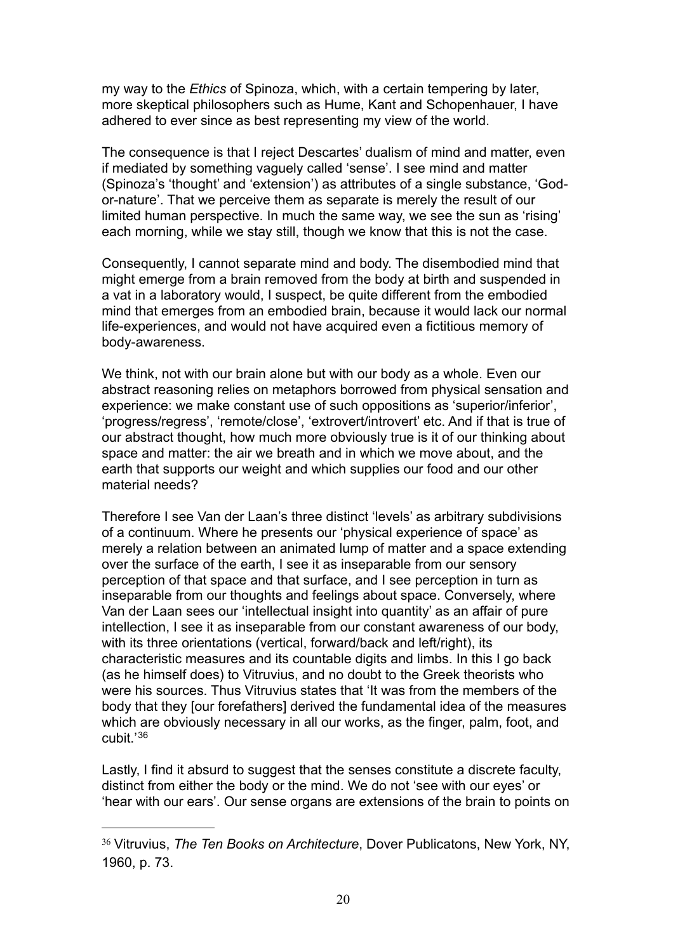my way to the *Ethics* of Spinoza, which, with a certain tempering by later, more skeptical philosophers such as Hume, Kant and Schopenhauer, I have adhered to ever since as best representing my view of the world.

The consequence is that I reject Descartes' dualism of mind and matter, even if mediated by something vaguely called 'sense'. I see mind and matter (Spinoza's 'thought' and 'extension') as attributes of a single substance, 'Godor-nature'. That we perceive them as separate is merely the result of our limited human perspective. In much the same way, we see the sun as 'rising' each morning, while we stay still, though we know that this is not the case.

Consequently, I cannot separate mind and body. The disembodied mind that might emerge from a brain removed from the body at birth and suspended in a vat in a laboratory would, I suspect, be quite different from the embodied mind that emerges from an embodied brain, because it would lack our normal life-experiences, and would not have acquired even a fictitious memory of body-awareness.

We think, not with our brain alone but with our body as a whole. Even our abstract reasoning relies on metaphors borrowed from physical sensation and experience: we make constant use of such oppositions as 'superior/inferior', 'progress/regress', 'remote/close', 'extrovert/introvert' etc. And if that is true of our abstract thought, how much more obviously true is it of our thinking about space and matter: the air we breath and in which we move about, and the earth that supports our weight and which supplies our food and our other material needs?

Therefore I see Van der Laan's three distinct 'levels' as arbitrary subdivisions of a continuum. Where he presents our 'physical experience of space' as merely a relation between an animated lump of matter and a space extending over the surface of the earth, I see it as inseparable from our sensory perception of that space and that surface, and I see perception in turn as inseparable from our thoughts and feelings about space. Conversely, where Van der Laan sees our 'intellectual insight into quantity' as an affair of pure intellection, I see it as inseparable from our constant awareness of our body, with its three orientations (vertical, forward/back and left/right), its characteristic measures and its countable digits and limbs. In this I go back (as he himself does) to Vitruvius, and no doubt to the Greek theorists who were his sources. Thus Vitruvius states that 'It was from the members of the body that they [our forefathers] derived the fundamental idea of the measures which are obviously necessary in all our works, as the finger, palm, foot, and cubit.'[36](#page-19-0)

Lastly, I find it absurd to suggest that the senses constitute a discrete faculty, distinct from either the body or the mind. We do not 'see with our eyes' or 'hear with our ears'. Our sense organs are extensions of the brain to points on

<span id="page-19-0"></span><sup>36</sup> Vitruvius, *The Ten Books on Architecture*, Dover Publicatons, New York, NY, 1960, p. 73.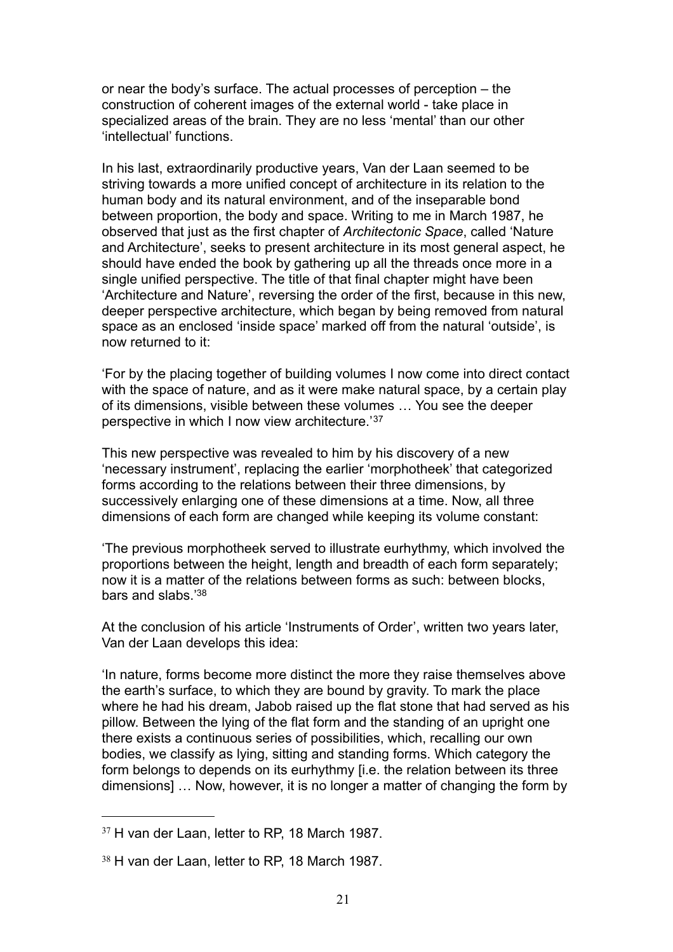or near the body's surface. The actual processes of perception – the construction of coherent images of the external world - take place in specialized areas of the brain. They are no less 'mental' than our other 'intellectual' functions.

In his last, extraordinarily productive years, Van der Laan seemed to be striving towards a more unified concept of architecture in its relation to the human body and its natural environment, and of the inseparable bond between proportion, the body and space. Writing to me in March 1987, he observed that just as the first chapter of *Architectonic Space*, called 'Nature and Architecture', seeks to present architecture in its most general aspect, he should have ended the book by gathering up all the threads once more in a single unified perspective. The title of that final chapter might have been 'Architecture and Nature', reversing the order of the first, because in this new, deeper perspective architecture, which began by being removed from natural space as an enclosed 'inside space' marked off from the natural 'outside', is now returned to it:

'For by the placing together of building volumes I now come into direct contact with the space of nature, and as it were make natural space, by a certain play of its dimensions, visible between these volumes … You see the deeper perspective in which I now view architecture.'[37](#page-20-0)

This new perspective was revealed to him by his discovery of a new 'necessary instrument', replacing the earlier 'morphotheek' that categorized forms according to the relations between their three dimensions, by successively enlarging one of these dimensions at a time. Now, all three dimensions of each form are changed while keeping its volume constant:

'The previous morphotheek served to illustrate eurhythmy, which involved the proportions between the height, length and breadth of each form separately; now it is a matter of the relations between forms as such: between blocks, bars and slabs.['38](#page-20-1)

At the conclusion of his article 'Instruments of Order', written two years later, Van der Laan develops this idea:

'In nature, forms become more distinct the more they raise themselves above the earth's surface, to which they are bound by gravity. To mark the place where he had his dream, Jabob raised up the flat stone that had served as his pillow. Between the lying of the flat form and the standing of an upright one there exists a continuous series of possibilities, which, recalling our own bodies, we classify as lying, sitting and standing forms. Which category the form belongs to depends on its eurhythmy [i.e. the relation between its three dimensions] … Now, however, it is no longer a matter of changing the form by

<span id="page-20-0"></span><sup>37</sup> H van der Laan, letter to RP, 18 March 1987.

<span id="page-20-1"></span><sup>38</sup> H van der Laan, letter to RP, 18 March 1987.